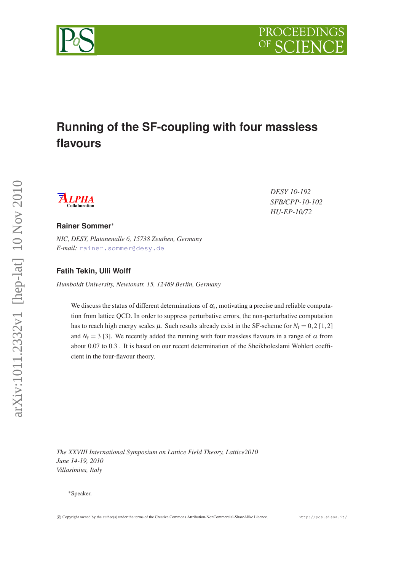

# **Running of the SF-coupling with four massless flavours**



*DESY 10-192 SFB/CPP-10-102 HU-EP-10/72*

#### **Rainer Sommer**<sup>∗</sup>

*NIC, DESY, Platanenalle 6, 15738 Zeuthen, Germany E-mail:* [rainer.sommer@desy.de](mailto:rainer.sommer@desy.de)

#### **Fatih Tekin, Ulli Wolff**

*Humboldt University, Newtonstr. 15, 12489 Berlin, Germany*

We discuss the status of different determinations of  $\alpha_s$ , motivating a precise and reliable computation from lattice QCD. In order to suppress perturbative errors, the non-perturbative computation has to reach high energy scales  $\mu$ . Such results already exist in the SF-scheme for  $N_f = 0, 2 [1, 2]$ and  $N_f = 3$  [3]. We recently added the running with four massless flavours in a range of  $\alpha$  from about 0.07 to 0.3 . It is based on our recent determination of the Sheikholeslami Wohlert coefficient in the four-flavour theory.

*The XXVIII International Symposium on Lattice Field Theory, Lattice2010 June 14-19, 2010 Villasimius, Italy*



<sup>∗</sup>Speaker.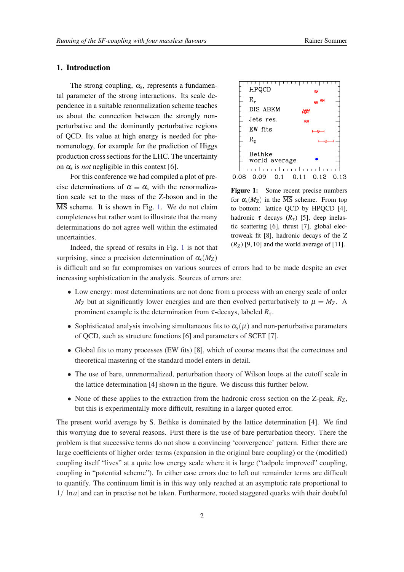#### 1. Introduction

The strong coupling,  $\alpha_s$ , represents a fundamental parameter of the strong interactions. Its scale dependence in a suitable renormalization scheme teaches us about the connection between the strongly nonperturbative and the dominantly perturbative regions of QCD. Its value at high energy is needed for phenomenology, for example for the prediction of Higgs production cross sections for the LHC. The uncertainty on  $\alpha_s$  is *not* negligible in this context [6].

For this conference we had compiled a plot of precise determinations of  $\alpha \equiv \alpha_s$  with the renormalization scale set to the mass of the Z-boson and in the  $\overline{\text{MS}}$  scheme. It is shown in Fig. 1. We do not claim completeness but rather want to illustrate that the many determinations do not agree well within the estimated uncertainties.



Figure 1: Some recent precise numbers for  $\alpha_s(M_Z)$  in the  $\overline{\text{MS}}$  scheme. From top to bottom: lattice QCD by HPQCD [4], hadronic  $\tau$  decays  $(R_{\tau})$  [5], deep inelastic scattering [6], thrust [7], global electroweak fit [8], hadronic decays of the Z  $(R_Z)$  [9, 10] and the world average of [11].

Indeed, the spread of results in Fig. 1 is not that surprising, since a precision determination of  $\alpha_s(M_Z)$ 

is difficult and so far compromises on various sources of errors had to be made despite an ever increasing sophistication in the analysis. Sources of errors are:

- Low energy: most determinations are not done from a process with an energy scale of order  $M_Z$  but at significantly lower energies and are then evolved perturbatively to  $\mu = M_Z$ . A prominent example is the determination from τ-decays, labeled  $R_τ$ .
- Sophisticated analysis involving simultaneous fits to  $\alpha_s(\mu)$  and non-perturbative parameters of QCD, such as structure functions [6] and parameters of SCET [7].
- Global fits to many processes (EW fits) [8], which of course means that the correctness and theoretical mastering of the standard model enters in detail.
- The use of bare, unrenormalized, perturbation theory of Wilson loops at the cutoff scale in the lattice determination [4] shown in the figure. We discuss this further below.
- None of these applies to the extraction from the hadronic cross section on the Z-peak,  $R_Z$ , but this is experimentally more difficult, resulting in a larger quoted error.

The present world average by S. Bethke is dominated by the lattice determination [4]. We find this worrying due to several reasons. First there is the use of bare perturbation theory. There the problem is that successive terms do not show a convincing 'convergence' pattern. Either there are large coefficients of higher order terms (expansion in the original bare coupling) or the (modified) coupling itself "lives" at a quite low energy scale where it is large ("tadpole improved" coupling, coupling in "potential scheme"). In either case errors due to left out remainder terms are difficult to quantify. The continuum limit is in this way only reached at an asymptotic rate proportional to 1/|ln*a*| and can in practise not be taken. Furthermore, rooted staggered quarks with their doubtful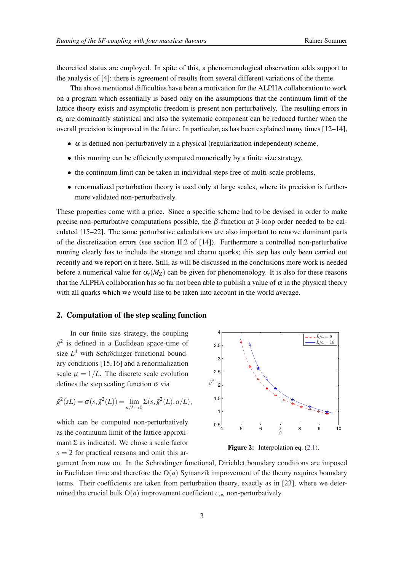<span id="page-2-0"></span>theoretical status are employed. In spite of this, a phenomenological observation adds support to the analysis of [4]: there is agreement of results from several different variations of the theme.

The above mentioned difficulties have been a motivation for the ALPHA collaboration to work on a program which essentially is based only on the assumptions that the continuum limit of the lattice theory exists and asymptotic freedom is present non-perturbatively. The resulting errors in  $\alpha_s$  are dominantly statistical and also the systematic component can be reduced further when the overall precision is improved in the future. In particular, as has been explained many times [12–14],

- $\bullet$   $\alpha$  is defined non-perturbatively in a physical (regularization independent) scheme,
- this running can be efficiently computed numerically by a finite size strategy,
- the continuum limit can be taken in individual steps free of multi-scale problems,
- renormalized perturbation theory is used only at large scales, where its precision is furthermore validated non-perturbatively.

These properties come with a price. Since a specific scheme had to be devised in order to make precise non-perturbative computations possible, the  $β$ -function at 3-loop order needed to be calculated [15–22]. The same perturbative calculations are also important to remove dominant parts of the discretization errors (see section II.2 of [14]). Furthermore a controlled non-perturbative running clearly has to include the strange and charm quarks; this step has only been carried out recently and we report on it here. Still, as will be discussed in the conclusions more work is needed before a numerical value for  $\alpha_s(M_Z)$  can be given for phenomenology. It is also for these reasons that the ALPHA collaboration has so far not been able to publish a value of  $\alpha$  in the physical theory with all quarks which we would like to be taken into account in the world average.

### 2. Computation of the step scaling function

In our finite size strategy, the coupling  $\bar{g}^2$  is defined in a Euclidean space-time of size *L* <sup>4</sup> with Schrödinger functional boundary conditions [15,16] and a renormalization scale  $\mu = 1/L$ . The discrete scale evolution defines the step scaling function  $\sigma$  via

$$
\bar{g}^{2}(sL) = \sigma(s, \bar{g}^{2}(L)) = \lim_{a/L \to 0} \Sigma(s, \bar{g}^{2}(L), a/L),
$$

which can be computed non-perturbatively as the continuum limit of the lattice approximant  $\Sigma$  as indicated. We chose a scale factor  $s = 2$  for practical reasons and omit this ar-



Figure 2: Interpolation eq.  $(2.1)$ .

gument from now on. In the Schrödinger functional, Dirichlet boundary conditions are imposed in Euclidean time and therefore the  $O(a)$  Symanzik improvement of the theory requires boundary terms. Their coefficients are taken from perturbation theory, exactly as in [23], where we determined the crucial bulk  $O(a)$  improvement coefficient  $c_{sw}$  non-perturbatively.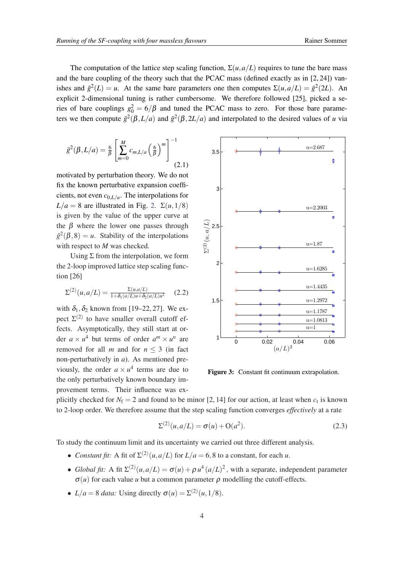<span id="page-3-0"></span>The computation of the lattice step scaling function,  $\Sigma(u, a/L)$  requires to tune the bare mass and the bare coupling of the theory such that the PCAC mass (defined exactly as in [2, 24]) vanishes and  $\bar{g}^2(L) = u$ . At the same bare parameters one then computes  $\Sigma(u, a/L) = \bar{g}^2(2L)$ . An explicit 2-dimensional tuning is rather cumbersome. We therefore followed [25], picked a series of bare couplings  $g_0^2 = 6/\beta$  and tuned the PCAC mass to zero. For those bare parameters we then compute  $\bar{g}^2(\beta, L/a)$  and  $\bar{g}^2(\beta, 2L/a)$  and interpolated to the desired values of *u* via

$$
\bar{g}^{2}(\beta, L/a) = \frac{6}{\beta} \left[ \sum_{m=0}^{M} c_{m, L/a} \left( \frac{6}{\beta} \right)^{m} \right]^{-1}
$$
\n(2.1)

motivated by perturbation theory. We do not fix the known perturbative expansion coefficients, not even *c*0,*L*/*<sup>a</sup>* . The interpolations for  $L/a = 8$  are illustrated in Fig. [2](#page-2-0).  $\Sigma(u, 1/8)$ is given by the value of the upper curve at the  $\beta$  where the lower one passes through  $\bar{g}^2(\beta, 8) = u$ . Stability of the interpolations with respect to *M* was checked.

Using  $\Sigma$  from the interpolation, we form the 2-loop improved lattice step scaling function [26]

$$
\Sigma^{(2)}(u, a/L) = \frac{\Sigma(u, a/L)}{1 + \delta_1(a/L)u + \delta_2(a/L)u^2} \quad (2.2)
$$

with  $\delta_1, \delta_2$  known from [19–22, 27]. We expect  $\Sigma^{(2)}$  to have smaller overall cutoff effects. Asymptotically, they still start at order  $a \times u^4$  but terms of order  $a^m \times u^n$  are removed for all *m* and for  $n \leq 3$  (in fact non-perturbatively in *a*). As mentioned previously, the order  $a \times u^4$  terms are due to the only perturbatively known boundary improvement terms. Their influence was ex-



Figure 3: Constant fit continuum extrapolation.

plicitly checked for  $N_f = 2$  and found to be minor [2, 14] for our action, at least when  $c_t$  is known to 2-loop order. We therefore assume that the step scaling function converges *effectively* at a rate

$$
\Sigma^{(2)}(u, a/L) = \sigma(u) + O(a^2).
$$
 (2.3)

To study the continuum limit and its uncertainty we carried out three different analysis.

- *Constant fit:* A fit of  $\Sigma^{(2)}(u, a/L)$  for  $L/a = 6, 8$  to a constant, for each *u*.
- *Global fit:* A fit  $\Sigma^{(2)}(u, a/L) = \sigma(u) + \rho u^4 (a/L)^2$ , with a separate, independent parameter  $\sigma(u)$  for each value *u* but a common parameter  $\rho$  modelling the cutoff-effects.
- $L/a = 8$  *data:* Using directly  $\sigma(u) = \Sigma^{(2)}(u, 1/8)$ .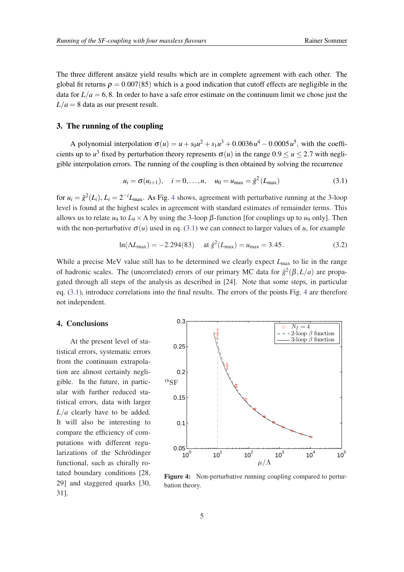<span id="page-4-0"></span>The three different ansätze yield results which are in complete agreement with each other. The global fit returns  $\rho = 0.007(85)$  which is a good indication that cutoff effects are negligible in the data for  $L/a = 6, 8$ . In order to have a safe error estimate on the continuum limit we chose just the  $L/a = 8$  data as our present result.

#### 3. The running of the coupling

A polynomial interpolation  $\sigma(u) = u + s_0 u^2 + s_1 u^3 + 0.0036 u^4 - 0.0005 u^5$ , with the coefficients up to  $u^3$  fixed by perturbation theory represents  $\sigma(u)$  in the range  $0.9 \le u \le 2.7$  with negligible interpolation errors. The running of the coupling is then obtained by solving the recurrence

$$
u_i = \sigma(u_{i+1}), \quad i = 0, ..., n, \quad u_0 = u_{\text{max}} = \bar{g}^2(L_{\text{max}})
$$
 (3.1)

for  $u_i = \bar{g}^2(L_i)$ ,  $L_i = 2^{-i}L_{\text{max}}$ . As Fig. 4 shows, agreement with perturbative running at the 3-loop level is found at the highest scales in agreement with standard estimates of remainder terms. This allows us to relate  $u_9$  to  $L_9 \times \Lambda$  by using the 3-loop  $\beta$ -function [for couplings up to  $u_9$  only]. Then with the non-perturbative  $\sigma(u)$  used in eq. (3.1) we can connect to larger values of *u*, for example

$$
\ln(\Lambda L_{\text{max}}) = -2.294(83) \quad \text{at } \bar{g}^2(L_{\text{max}}) = u_{\text{max}} = 3.45. \tag{3.2}
$$

While a precise MeV value still has to be determined we clearly expect  $L_{\text{max}}$  to lie in the range of hadronic scales. The (uncorrelated) errors of our primary MC data for  $\bar{g}^2(\beta, L/a)$  are propagated through all steps of the analysis as described in [24]. Note that some steps, in particular eq. (3.1), introduce correlations into the final results. The errors of the points Fig. 4 are therefore not independent.

## 4. Conclusions

At the present level of statistical errors, systematic errors from the continuum extrapolation are almost certainly negligible. In the future, in particular with further reduced statistical errors, data with larger *L*/*a* clearly have to be added. It will also be interesting to compare the efficiency of computations with different regularizations of the Schrödinger functional, such as chirally rotated boundary conditions [28, 29] and staggered quarks [30, 31].



Figure 4: Non-perturbative running coupling compared to perturbation theory.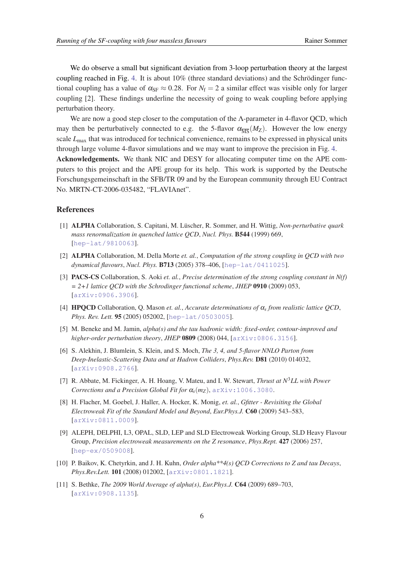We do observe a small but significant deviation from 3-loop perturbation theory at the largest coupling reached in Fig. [4](#page-4-0). It is about 10% (three standard deviations) and the Schrödinger functional coupling has a value of  $\alpha_{\rm SF} \approx 0.28$ . For  $N_f = 2$  a similar effect was visible only for larger coupling [2]. These findings underline the necessity of going to weak coupling before applying perturbation theory.

We are now a good step closer to the computation of the  $\Lambda$ -parameter in 4-flavor QCD, which may then be perturbatively connected to e.g. the 5-flavor  $\alpha_{\overline{MS}}(M_Z)$ . However the low energy scale *L*<sub>max</sub> that was introduced for technical convenience, remains to be expressed in physical units through large volume 4-flavor simulations and we may want to improve the precision in Fig. [4](#page-4-0).

Acknowledgements. We thank NIC and DESY for allocating computer time on the APE computers to this project and the APE group for its help. This work is supported by the Deutsche Forschungsgemeinschaft in the SFB/TR 09 and by the European community through EU Contract No. MRTN-CT-2006-035482, "FLAVIAnet".

#### References

- [1] ALPHA Collaboration, S. Capitani, M. Lüscher, R. Sommer, and H. Wittig, *Non-perturbative quark mass renormalization in quenched lattice QCD*, *Nucl. Phys.* B544 (1999) 669, [[hep-lat/9810063](http://xxx.lanl.gov/abs/hep-lat/9810063)].
- [2] ALPHA Collaboration, M. Della Morte *et. al.*, *Computation of the strong coupling in QCD with two dynamical flavours*, *Nucl. Phys.* B713 (2005) 378–406, [[hep-lat/0411025](http://xxx.lanl.gov/abs/hep-lat/0411025)].
- [3] PACS-CS Collaboration, S. Aoki *et. al.*, *Precise determination of the strong coupling constant in N(f) = 2+1 lattice QCD with the Schrodinger functional scheme*, *JHEP* 0910 (2009) 053, [[arXiv:0906.3906](http://xxx.lanl.gov/abs/arXiv:0906.3906)].
- [4] HPQCD Collaboration, Q. Mason *et. al.*, *Accurate determinations of* α*<sup>s</sup> from realistic lattice QCD*, *Phys. Rev. Lett.* 95 (2005) 052002, [[hep-lat/0503005](http://xxx.lanl.gov/abs/hep-lat/0503005)].
- [5] M. Beneke and M. Jamin, *alpha(s) and the tau hadronic width: fixed-order, contour-improved and higher-order perturbation theory*, *JHEP* 0809 (2008) 044, [[arXiv:0806.3156](http://xxx.lanl.gov/abs/arXiv:0806.3156)].
- [6] S. Alekhin, J. Blumlein, S. Klein, and S. Moch, *The 3, 4, and 5-flavor NNLO Parton from Deep-Inelastic-Scattering Data and at Hadron Colliders*, *Phys.Rev.* D81 (2010) 014032, [[arXiv:0908.2766](http://xxx.lanl.gov/abs/arXiv:0908.2766)].
- [7] R. Abbate, M. Fickinger, A. H. Hoang, V. Mateu, and I. W. Stewart, *Thrust at N*3*LL with Power Corrections and a Precision Global Fit for*  $\alpha_s(m_Z)$ ,  $\ar{\text{Xiv}:1006.3080}$ .
- [8] H. Flacher, M. Goebel, J. Haller, A. Hocker, K. Monig, *et. al.*, *Gfitter Revisiting the Global Electroweak Fit of the Standard Model and Beyond*, *Eur.Phys.J.* C60 (2009) 543–583, [[arXiv:0811.0009](http://xxx.lanl.gov/abs/arXiv:0811.0009)].
- [9] ALEPH, DELPHI, L3, OPAL, SLD, LEP and SLD Electroweak Working Group, SLD Heavy Flavour Group, *Precision electroweak measurements on the Z resonance*, *Phys.Rept.* 427 (2006) 257, [[hep-ex/0509008](http://xxx.lanl.gov/abs/hep-ex/0509008)].
- [10] P. Baikov, K. Chetyrkin, and J. H. Kuhn, *Order alpha\*\*4(s) QCD Corrections to Z and tau Decays*, *Phys.Rev.Lett.* 101 (2008) 012002, [[arXiv:0801.1821](http://xxx.lanl.gov/abs/arXiv:0801.1821)].
- [11] S. Bethke, *The 2009 World Average of alpha(s)*, *Eur.Phys.J.* C64 (2009) 689–703, [[arXiv:0908.1135](http://xxx.lanl.gov/abs/arXiv:0908.1135)].